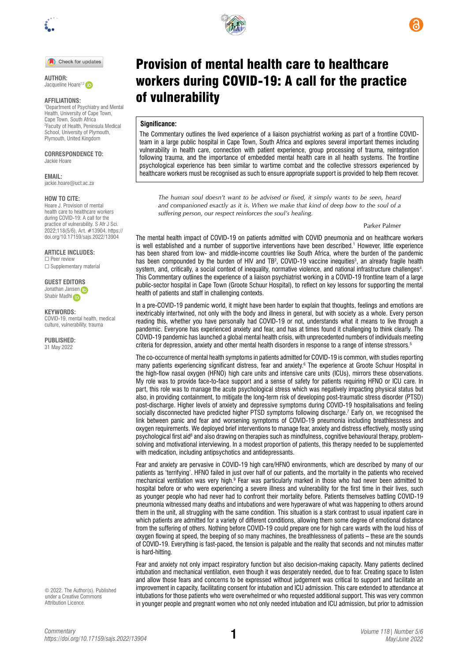

Check for updates

**AUTHOR:**  Jacqueline Hoare<sup>1,2</sup>

## **AFFILIATIONS:**

1 Department of Psychiatry and Mental Health, University of Cape Town, Cape Town, South Africa 2 Faculty of Health, Peninsula Medical School, University of Plymouth, Plymouth, United Kingdom

#### **CORRESPONDENCE TO:**  Jackie Hoare

**EMAIL:** 

[jackie.hoare@uct.ac.za](mailto:jackie.hoare@uct.ac.za)

## **HOW TO CITE:**

Hoare J. Provision of mental health care to healthcare workers during COVID-19: A call for the practice of vulnerability. S Afr J Sci. 2022;118(5/6), Art. #13904. [https://](https://doi.org/10.17159/sajs.2022/13904) [doi.org/10.17159/sajs.2022/13904](https://doi.org/10.17159/sajs.2022/13904)

**ARTICLE INCLUDES:** 

☐ Peer review □ Supplementary material

**GUEST EDITO[RS](https://orcid.org/0000-0002-8614-5678)** Jonathan Jansen Shab[i](https://orcid.org/0000-0002-7629-0636)r Madhi

### **KEYWORDS:**

COVID-19, mental health, medical culture, vulnerability, trauma

**PUBLISHED:** 31 May 2022



# Provision of mental health care to healthcare workers during COVID-19: A call for the practice of vulnerability

## **Significance:**

The Commentary outlines the lived experience of a liaison psychiatrist working as part of a frontline COVIDteam in a large public hospital in Cape Town, South Africa and explores several important themes including vulnerability in health care, connection with patient experience, group processing of trauma, reintegration following trauma, and the importance of embedded mental health care in all health systems. The frontline psychological experience has been similar to wartime combat and the collective stressors experienced by healthcare workers must be recognised as such to ensure appropriate support is provided to help them recover.

*The human soul doesn't want to be advised or fixed, it simply wants to be seen, heard and companioned exactly as it is. When we make that kind of deep bow to the soul of a suffering person, our respect reinforces the soul's healing.*

Parker Palmer

The mental health impact of COVID-19 on patients admitted with COVID pneumonia and on healthcare workers is well established and a number of supportive interventions have been described.1 However, little experience has been shared from low- and middle-income countries like South Africa, where the burden of the pandemic has been compounded by the burden of HIV and TB<sup>2</sup>, COVID-19 vaccine inequities<sup>3</sup>, an already fragile health system, and, critically, a social context of inequality, normative violence, and national infrastructure challenges<sup>4</sup>. This Commentary outlines the experience of a liaison psychiatrist working in a COVID-19 frontline team of a large public-sector hospital in Cape Town (Groote Schuur Hospital), to reflect on key lessons for supporting the mental health of patients and staff in challenging contexts.

In a pre-COVID-19 pandemic world, it might have been harder to explain that thoughts, feelings and emotions are inextricably intertwined, not only with the body and illness in general, but with society as a whole. Every person reading this, whether you have personally had COVID-19 or not, understands what it means to live through a pandemic. Everyone has experienced anxiety and fear, and has at times found it challenging to think clearly. The COVID-19 pandemic has launched a global mental health crisis, with unprecedented numbers of individuals meeting criteria for depression, anxiety and other mental health disorders in response to a range of intense stressors.5

The co-occurrence of mental health symptoms in patients admitted for COVID-19 is common, with studies reporting many patients experiencing significant distress, fear and anxiety.<sup>6</sup> The experience at Groote Schuur Hospital in the high-flow nasal oxygen (HFNO) high care units and intensive care units (ICUs), mirrors these observations. My role was to provide face-to-face support and a sense of safety for patients requiring HFNO or ICU care. In part, this role was to manage the acute psychological stress which was negatively impacting physical status but also, in providing containment, to mitigate the long-term risk of developing post-traumatic stress disorder (PTSD) post-discharge. Higher levels of anxiety and depressive symptoms during COVID-19 hospitalisations and feeling socially disconnected have predicted higher PTSD symptoms following discharge.<sup>7</sup> Early on, we recognised the link between panic and fear and worsening symptoms of COVID-19 pneumonia including breathlessness and oxygen requirements. We deployed brief interventions to manage fear, anxiety and distress effectively, mostly using psychological first aid<sup>8</sup> and also drawing on therapies such as mindfulness, cognitive behavioural therapy, problemsolving and motivational interviewing. In a modest proportion of patients, this therapy needed to be supplemented with medication, including antipsychotics and antidepressants.

Fear and anxiety are pervasive in COVID-19 high care/HFNO environments, which are described by many of our patients as 'terrifying'. HFNO failed in just over half of our patients, and the mortality in the patients who received mechanical ventilation was very high.<sup>9</sup> Fear was particularly marked in those who had never been admitted to hospital before or who were experiencing a severe illness and vulnerability for the first time in their lives, such as younger people who had never had to confront their mortality before. Patients themselves battling COVID-19 pneumonia witnessed many deaths and intubations and were hyperaware of what was happening to others around them in the unit, all struggling with the same condition. This situation is a stark contrast to usual inpatient care in which patients are admitted for a variety of different conditions, allowing them some degree of emotional distance from the suffering of others. Nothing before COVID-19 could prepare one for high care wards with the loud hiss of oxygen flowing at speed, the beeping of so many machines, the breathlessness of patients – these are the sounds of COVID-19. Everything is fast-paced, the tension is palpable and the reality that seconds and not minutes matter is hard-hitting.

Fear and anxiety not only impact respiratory function but also decision-making capacity. Many patients declined intubation and mechanical ventilation, even though it was desperately needed, due to fear. Creating space to listen and allow those fears and concerns to be expressed without judgement was critical to support and facilitate an improvement in capacity, facilitating consent for intubation and ICU admission. This care extended to attendance at intubations for those patients who were overwhelmed or who requested additional support. This was very common in younger people and pregnant women who not only needed intubation and ICU admission, but prior to admission

© 2022. The Author(s). Published under a [Creative Commons](https://creativecommons.org/licenses/by/4.0/)  [Attribution Licence.](https://creativecommons.org/licenses/by/4.0/)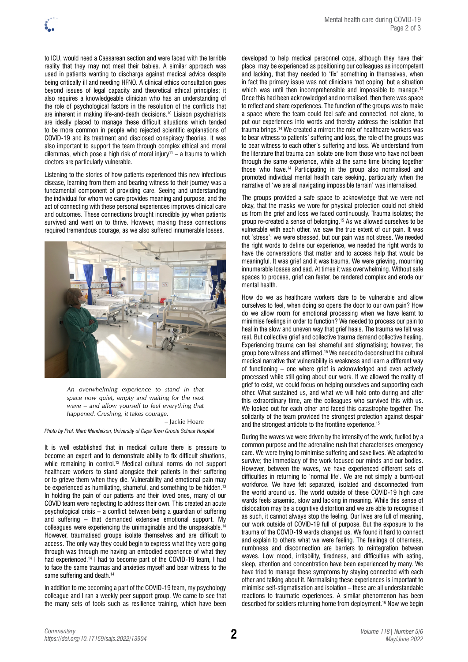to ICU, would need a Caesarean section and were faced with the terrible reality that they may not meet their babies. A similar approach was used in patients wanting to discharge against medical advice despite being critically ill and needing HFNO. A clinical ethics consultation goes beyond issues of legal capacity and theoretical ethical principles; it also requires a knowledgeable clinician who has an understanding of the role of psychological factors in the resolution of the conflicts that are inherent in making life-and-death decisions.10 Liaison psychiatrists are ideally placed to manage these difficult situations which tended to be more common in people who rejected scientific explanations of COVID-19 and its treatment and disclosed conspiracy theories. It was also important to support the team through complex ethical and moral dilemmas, which pose a high risk of moral injury<sup>11</sup> – a trauma to which doctors are particularly vulnerable.

Listening to the stories of how patients experienced this new infectious disease, learning from them and bearing witness to their journey was a fundamental component of providing care. Seeing and understanding the individual for whom we care provides meaning and purpose, and the act of connecting with these personal experiences improves clinical care and outcomes. These connections brought incredible joy when patients survived and went on to thrive. However, making these connections required tremendous courage, as we also suffered innumerable losses.



*An overwhelming experience to stand in that space now quiet, empty and waiting for the next wave – and allow yourself to feel everything that happened. Crushing, it takes courage.* 

– Jackie Hoare

*Photo by Prof. Marc Mendelson, University of Cape Town Groote Schuur Hospital* 

It is well established that in medical culture there is pressure to become an expert and to demonstrate ability to fix difficult situations, while remaining in control.<sup>12</sup> Medical cultural norms do not support healthcare workers to stand alongside their patients in their suffering or to grieve them when they die. Vulnerability and emotional pain may be experienced as humiliating, shameful, and something to be hidden.<sup>13</sup> In holding the pain of our patients and their loved ones, many of our COVID team were neglecting to address their own. This created an acute psychological crisis – a conflict between being a guardian of suffering and suffering – that demanded extensive emotional support. My colleagues were experiencing the unimaginable and the unspeakable.14 However, traumatised groups isolate themselves and are difficult to access. The only way they could begin to express what they were going through was through me having an embodied experience of what they had experienced.14 I had to become part of the COVID-19 team, I had to face the same traumas and anxieties myself and bear witness to the same suffering and death.<sup>14</sup>

In addition to me becoming a part of the COVID-19 team, my psychology colleague and I ran a weekly peer support group. We came to see that the many sets of tools such as resilience training, which have been developed to help medical personnel cope, although they have their place, may be experienced as positioning our colleagues as incompetent and lacking, that they needed to 'fix' something in themselves, when in fact the primary issue was not clinicians 'not coping' but a situation which was until then incomprehensible and impossible to manage.<sup>14</sup> Once this had been acknowledged and normalised, then there was space to reflect and share experiences. The function of the groups was to make a space where the team could feel safe and connected, not alone, to put our experiences into words and thereby address the isolation that trauma brings.14 We created a mirror: the role of healthcare workers was to bear witness to patients' suffering and loss, the role of the groups was to bear witness to each other's suffering and loss. We understand from the literature that trauma can isolate one from those who have not been through the same experience, while at the same time binding together those who have.14 Participating in the group also normalised and promoted individual mental health care seeking, particularly when the narrative of 'we are all navigating impossible terrain' was internalised.

The groups provided a safe space to acknowledge that we were not okay, that the masks we wore for physical protection could not shield us from the grief and loss we faced continuously. Trauma isolates; the group re-created a sense of belonging.15 As we allowed ourselves to be vulnerable with each other, we saw the true extent of our pain. It was not 'stress': we were stressed, but our pain was not stress. We needed the right words to define our experience, we needed the right words to have the conversations that matter and to access help that would be meaningful. It was grief and it was trauma. We were grieving, mourning innumerable losses and sad. At times it was overwhelming. Without safe spaces to process, grief can fester, be rendered complex and erode our mental health.

How do we as healthcare workers dare to be vulnerable and allow ourselves to feel, when doing so opens the door to our own pain? How do we allow room for emotional processing when we have learnt to minimise feelings in order to function? We needed to process our pain to heal in the slow and uneven way that grief heals. The trauma we felt was real. But collective grief and collective trauma demand collective healing. Experiencing trauma can feel shameful and stigmatising; however, the group bore witness and affirmed.15 We needed to deconstruct the cultural medical narrative that vulnerability is weakness and learn a different way of functioning – one where grief is acknowledged and even actively processed while still going about our work. If we allowed the reality of grief to exist, we could focus on helping ourselves and supporting each other. What sustained us, and what we will hold onto during and after this extraordinary time, are the colleagues who survived this with us. We looked out for each other and faced this catastrophe together. The solidarity of the team provided the strongest protection against despair and the strongest antidote to the frontline experience.15

During the waves we were driven by the intensity of the work, fuelled by a common purpose and the adrenaline rush that characterises emergency care. We were trying to minimise suffering and save lives. We adapted to survive; the immediacy of the work focused our minds and our bodies. However, between the waves, we have experienced different sets of difficulties in returning to 'normal life'. We are not simply a burnt-out workforce. We have felt separated, isolated and disconnected from the world around us. The world outside of these COVID-19 high care wards feels anaemic, slow and lacking in meaning. While this sense of dislocation may be a cognitive distortion and we are able to recognise it as such, it cannot always stop the feeling. Our lives are full of meaning, our work outside of COVID-19 full of purpose. But the exposure to the trauma of the COVID-19 wards changed us. We found it hard to connect and explain to others what we were feeling. The feelings of otherness, numbness and disconnection are barriers to reintegration between waves. Low mood, irritability, tiredness, and difficulties with eating, sleep, attention and concentration have been experienced by many. We have tried to manage these symptoms by staying connected with each other and talking about it. Normalising these experiences is important to minimise self-stigmatisation and isolation – these are all understandable reactions to traumatic experiences. A similar phenomenon has been described for soldiers returning home from deployment.16 Now we begin